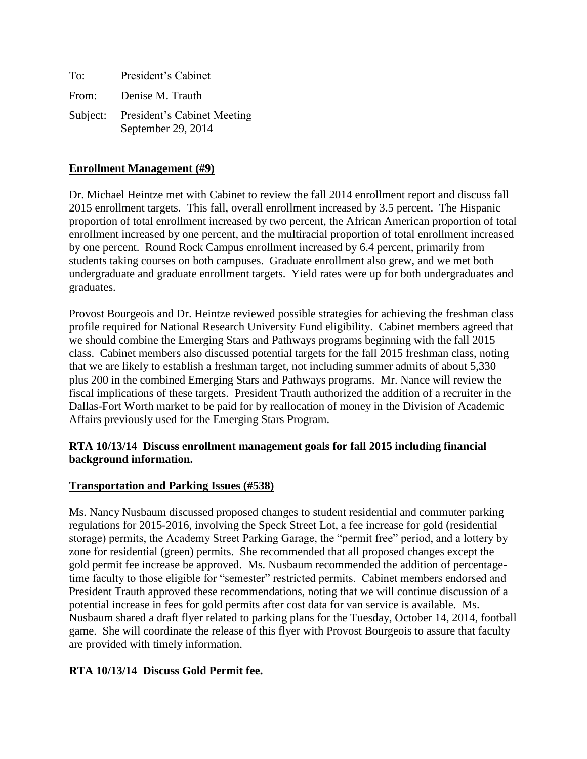| To:   | President's Cabinet                                        |
|-------|------------------------------------------------------------|
| From: | Denise M. Trauth                                           |
|       | Subject: President's Cabinet Meeting<br>September 29, 2014 |

### **Enrollment Management (#9)**

Dr. Michael Heintze met with Cabinet to review the fall 2014 enrollment report and discuss fall 2015 enrollment targets. This fall, overall enrollment increased by 3.5 percent. The Hispanic proportion of total enrollment increased by two percent, the African American proportion of total enrollment increased by one percent, and the multiracial proportion of total enrollment increased by one percent. Round Rock Campus enrollment increased by 6.4 percent, primarily from students taking courses on both campuses. Graduate enrollment also grew, and we met both undergraduate and graduate enrollment targets. Yield rates were up for both undergraduates and graduates.

Provost Bourgeois and Dr. Heintze reviewed possible strategies for achieving the freshman class profile required for National Research University Fund eligibility. Cabinet members agreed that we should combine the Emerging Stars and Pathways programs beginning with the fall 2015 class. Cabinet members also discussed potential targets for the fall 2015 freshman class, noting that we are likely to establish a freshman target, not including summer admits of about 5,330 plus 200 in the combined Emerging Stars and Pathways programs. Mr. Nance will review the fiscal implications of these targets. President Trauth authorized the addition of a recruiter in the Dallas-Fort Worth market to be paid for by reallocation of money in the Division of Academic Affairs previously used for the Emerging Stars Program.

### **RTA 10/13/14 Discuss enrollment management goals for fall 2015 including financial background information.**

### **Transportation and Parking Issues (#538)**

Ms. Nancy Nusbaum discussed proposed changes to student residential and commuter parking regulations for 2015-2016, involving the Speck Street Lot, a fee increase for gold (residential storage) permits, the Academy Street Parking Garage, the "permit free" period, and a lottery by zone for residential (green) permits. She recommended that all proposed changes except the gold permit fee increase be approved. Ms. Nusbaum recommended the addition of percentagetime faculty to those eligible for "semester" restricted permits. Cabinet members endorsed and President Trauth approved these recommendations, noting that we will continue discussion of a potential increase in fees for gold permits after cost data for van service is available. Ms. Nusbaum shared a draft flyer related to parking plans for the Tuesday, October 14, 2014, football game. She will coordinate the release of this flyer with Provost Bourgeois to assure that faculty are provided with timely information.

### **RTA 10/13/14 Discuss Gold Permit fee.**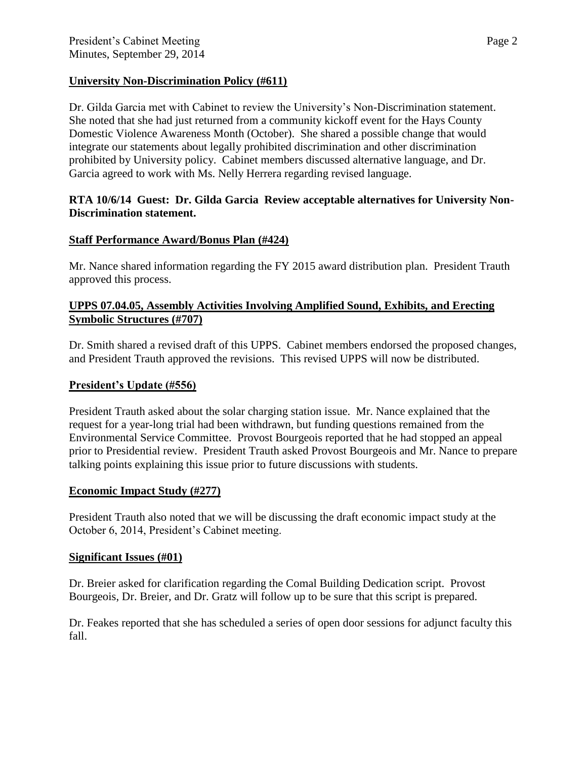## **University Non-Discrimination Policy (#611)**

Dr. Gilda Garcia met with Cabinet to review the University's Non-Discrimination statement. She noted that she had just returned from a community kickoff event for the Hays County Domestic Violence Awareness Month (October). She shared a possible change that would integrate our statements about legally prohibited discrimination and other discrimination prohibited by University policy. Cabinet members discussed alternative language, and Dr. Garcia agreed to work with Ms. Nelly Herrera regarding revised language.

## **RTA 10/6/14 Guest: Dr. Gilda Garcia Review acceptable alternatives for University Non-Discrimination statement.**

# **Staff Performance Award/Bonus Plan (#424)**

Mr. Nance shared information regarding the FY 2015 award distribution plan. President Trauth approved this process.

## **UPPS 07.04.05, Assembly Activities Involving Amplified Sound, Exhibits, and Erecting Symbolic Structures (#707)**

Dr. Smith shared a revised draft of this UPPS. Cabinet members endorsed the proposed changes, and President Trauth approved the revisions. This revised UPPS will now be distributed.

## **President's Update (#556)**

President Trauth asked about the solar charging station issue. Mr. Nance explained that the request for a year-long trial had been withdrawn, but funding questions remained from the Environmental Service Committee. Provost Bourgeois reported that he had stopped an appeal prior to Presidential review. President Trauth asked Provost Bourgeois and Mr. Nance to prepare talking points explaining this issue prior to future discussions with students.

## **Economic Impact Study (#277)**

President Trauth also noted that we will be discussing the draft economic impact study at the October 6, 2014, President's Cabinet meeting.

## **Significant Issues (#01)**

Dr. Breier asked for clarification regarding the Comal Building Dedication script. Provost Bourgeois, Dr. Breier, and Dr. Gratz will follow up to be sure that this script is prepared.

Dr. Feakes reported that she has scheduled a series of open door sessions for adjunct faculty this fall.